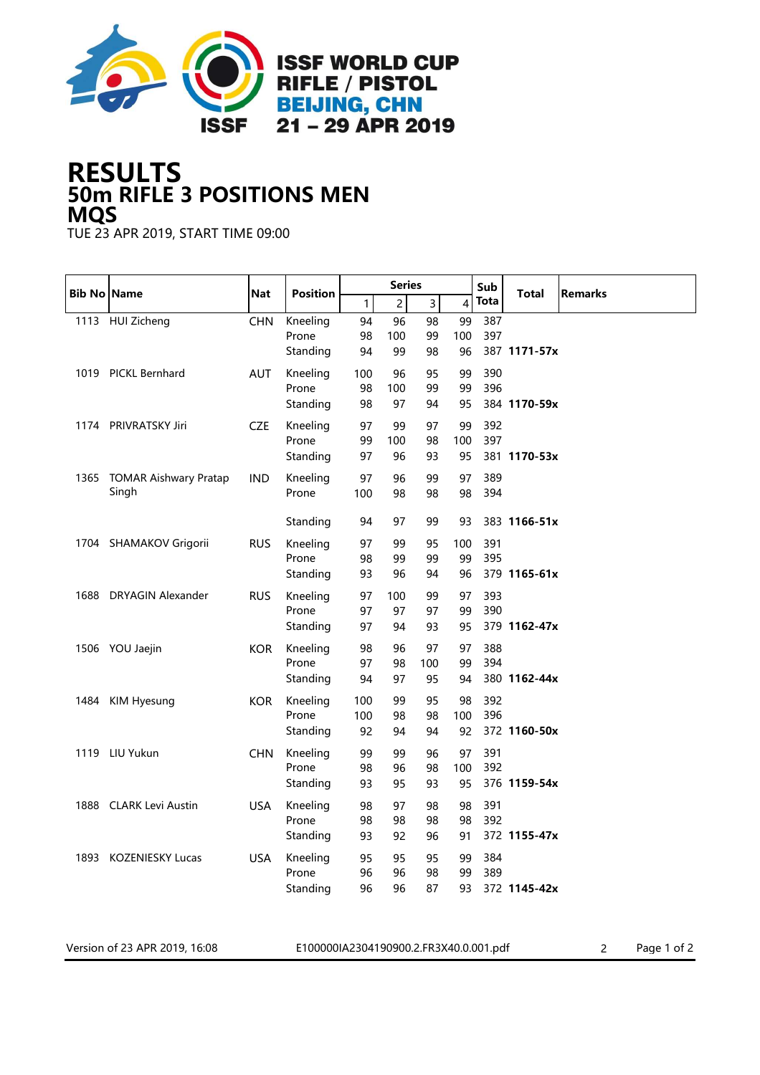

## 50m RIFLE 3 POSITIONS MEN RESULTS MQS

TUE 23 APR 2019, START TIME 09:00

|      | <b>Bib No Name</b>           | <b>Nat</b> | <b>Position</b> | <b>Series</b> |                |                |     | Sub  | <b>Total</b> |                |
|------|------------------------------|------------|-----------------|---------------|----------------|----------------|-----|------|--------------|----------------|
|      |                              |            |                 | $\mathbf{1}$  | $\overline{c}$ | $\overline{3}$ | 4   | Tota |              | <b>Remarks</b> |
|      | 1113 HUI Zicheng             | <b>CHN</b> | Kneeling        | 94            | 96             | 98             | 99  | 387  |              |                |
|      |                              |            | Prone           | 98            | 100            | 99             | 100 | 397  |              |                |
|      |                              |            | Standing        | 94            | 99             | 98             | 96  |      | 387 1171-57x |                |
|      | 1019 PICKL Bernhard          | AUT        | Kneeling        | 100           | 96             | 95             | 99  | 390  |              |                |
|      |                              |            | Prone           | 98            | 100            | 99             | 99  | 396  |              |                |
|      |                              |            | Standing        | 98            | 97             | 94             | 95  |      | 384 1170-59x |                |
|      | 1174 PRIVRATSKY Jiri         | CZE        | Kneeling        | 97            | 99             | 97             | 99  | 392  |              |                |
|      |                              |            | Prone           | 99            | 100            | 98             | 100 | 397  |              |                |
|      |                              |            | Standing        | 97            | 96             | 93             | 95  |      | 381 1170-53x |                |
| 1365 | <b>TOMAR Aishwary Pratap</b> | <b>IND</b> | Kneeling        | 97            | 96             | 99             | 97  | 389  |              |                |
|      | Singh                        |            | Prone           | 100           | 98             | 98             | 98  | 394  |              |                |
|      |                              |            |                 |               |                |                |     |      |              |                |
|      |                              |            | Standing        | 94            | 97             | 99             | 93  |      | 383 1166-51x |                |
|      | 1704 SHAMAKOV Grigorii       | <b>RUS</b> | Kneeling        | 97            | 99             | 95             | 100 | 391  |              |                |
|      |                              |            | Prone           | 98            | 99             | 99             | 99  | 395  |              |                |
|      |                              |            | Standing        | 93            | 96             | 94             | 96  |      | 379 1165-61x |                |
| 1688 | <b>DRYAGIN Alexander</b>     | <b>RUS</b> | Kneeling        | 97            | 100            | 99             | 97  | 393  |              |                |
|      |                              |            | Prone           | 97            | 97             | 97             | 99  | 390  |              |                |
|      |                              |            | Standing        | 97            | 94             | 93             | 95  |      | 379 1162-47x |                |
|      | 1506 YOU Jaejin              | <b>KOR</b> | Kneeling        | 98            | 96             | 97             | 97  | 388  |              |                |
|      |                              |            | Prone           | 97            | 98             | 100            | 99  | 394  |              |                |
|      |                              |            | Standing        | 94            | 97             | 95             | 94  |      | 380 1162-44x |                |
|      | 1484 KIM Hyesung             | <b>KOR</b> | Kneeling        | 100           | 99             | 95             | 98  | 392  |              |                |
|      |                              |            | Prone           | 100           | 98             | 98             | 100 | 396  |              |                |
|      |                              |            | Standing        | 92            | 94             | 94             | 92  |      | 372 1160-50x |                |
|      | 1119 LIU Yukun               | <b>CHN</b> | Kneeling        | 99            | 99             | 96             | 97  | 391  |              |                |
|      |                              |            | Prone           | 98            | 96             | 98             | 100 | 392  |              |                |
|      |                              |            | Standing        | 93            | 95             | 93             | 95  |      | 376 1159-54x |                |
|      | 1888 CLARK Levi Austin       | <b>USA</b> | Kneeling        | 98            | 97             | 98             | 98  | 391  |              |                |
|      |                              |            | Prone           | 98            | 98             | 98             | 98  | 392  |              |                |
|      |                              |            | Standing        | 93            | 92             | 96             | 91  |      | 372 1155-47x |                |
|      | 1893 KOZENIESKY Lucas        | <b>USA</b> | Kneeling        | 95            | 95             | 95             | 99  | 384  |              |                |
|      |                              |            | Prone           | 96            | 96             | 98             | 99  | 389  |              |                |
|      |                              |            | Standing        | 96            | 96             | 87             | 93  |      | 372 1145-42x |                |

Version of 23 APR 2019, 16:08 E100000IA2304190900.2.FR3X40.0.001.pdf 2 Page 1 of 2